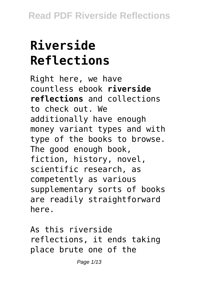# **Riverside Reflections**

Right here, we have countless ebook **riverside reflections** and collections to check out. We additionally have enough money variant types and with type of the books to browse. The good enough book, fiction, history, novel, scientific research, as competently as various supplementary sorts of books are readily straightforward here.

As this riverside reflections, it ends taking place brute one of the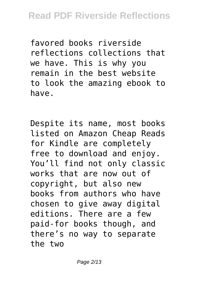favored books riverside reflections collections that we have. This is why you remain in the best website to look the amazing ebook to have.

Despite its name, most books listed on Amazon Cheap Reads for Kindle are completely free to download and enjoy. You'll find not only classic works that are now out of copyright, but also new books from authors who have chosen to give away digital editions. There are a few paid-for books though, and there's no way to separate the two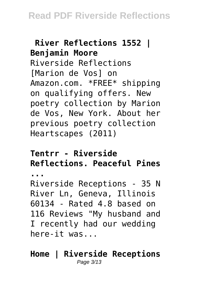# **River Reflections 1552 | Benjamin Moore** Riverside Reflections [Marion de Vos] on Amazon.com. \*FREE\* shipping on qualifying offers. New

poetry collection by Marion de Vos, New York. About her previous poetry collection Heartscapes (2011)

## **Tentrr - Riverside Reflections. Peaceful Pines**

**...**

Riverside Receptions - 35 N River Ln, Geneva, Illinois 60134 - Rated 4.8 based on 116 Reviews "My husband and I recently had our wedding here-it was...

#### **Home | Riverside Receptions** Page 3/13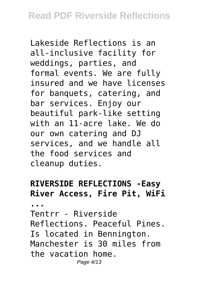Lakeside Reflections is an all-inclusive facility for weddings, parties, and formal events. We are fully insured and we have licenses for banquets, catering, and bar services. Enjoy our beautiful park-like setting with an 11-acre lake. We do our own catering and DJ services, and we handle all the food services and cleanup duties.

### **RIVERSIDE REFLECTIONS -Easy River Access, Fire Pit, WiFi**

**...**

Tentrr - Riverside Reflections. Peaceful Pines. Is located in Bennington. Manchester is 30 miles from the vacation home. Page 4/13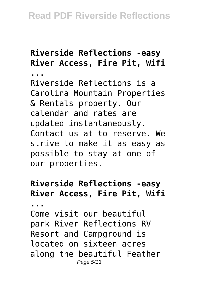# **Riverside Reflections -easy River Access, Fire Pit, Wifi**

**...**

Riverside Reflections is a Carolina Mountain Properties & Rentals property. Our calendar and rates are updated instantaneously. Contact us at to reserve. We strive to make it as easy as possible to stay at one of our properties.

## **Riverside Reflections -easy River Access, Fire Pit, Wifi**

**...**

Come visit our beautiful park River Reflections RV Resort and Campground is located on sixteen acres along the beautiful Feather Page 5/13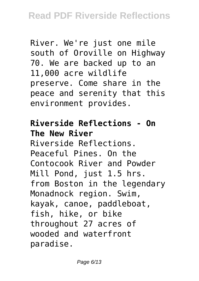River. We're just one mile south of Oroville on Highway 70. We are backed up to an 11,000 acre wildlife preserve. Come share in the peace and serenity that this environment provides.

#### **Riverside Reflections - On The New River**

Riverside Reflections. Peaceful Pines. On the Contocook River and Powder Mill Pond, just 1.5 hrs. from Boston in the legendary Monadnock region. Swim, kayak, canoe, paddleboat, fish, hike, or bike throughout 27 acres of wooded and waterfront paradise.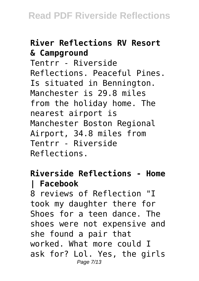# **River Reflections RV Resort & Campground**

Tentrr - Riverside Reflections. Peaceful Pines. Is situated in Bennington. Manchester is 29.8 miles from the holiday home. The nearest airport is Manchester Boston Regional Airport, 34.8 miles from Tentrr - Riverside Reflections.

### **Riverside Reflections - Home | Facebook**

8 reviews of Reflection "I took my daughter there for Shoes for a teen dance. The shoes were not expensive and she found a pair that worked. What more could I ask for? Lol. Yes, the girls Page 7/13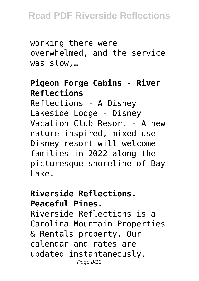# **Read PDF Riverside Reflections**

working there were overwhelmed, and the service was slow,…

#### **Pigeon Forge Cabins - River Reflections**

Reflections - A Disney Lakeside Lodge - Disney Vacation Club Resort - A new nature-inspired, mixed-use Disney resort will welcome families in 2022 along the picturesque shoreline of Bay Lake.

#### **Riverside Reflections. Peaceful Pines.**

Riverside Reflections is a Carolina Mountain Properties & Rentals property. Our calendar and rates are updated instantaneously. Page 8/13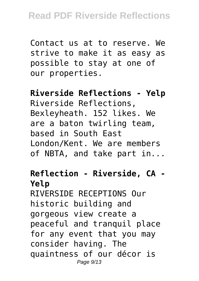Contact us at to reserve. We strive to make it as easy as possible to stay at one of our properties.

#### **Riverside Reflections - Yelp** Riverside Reflections, Bexleyheath. 152 likes. We are a baton twirling team, based in South East London/Kent. We are members of NBTA, and take part in...

# **Reflection - Riverside, CA - Yelp**

RIVERSIDE RECEPTIONS Our historic building and gorgeous view create a peaceful and tranquil place for any event that you may consider having. The quaintness of our décor is Page 9/13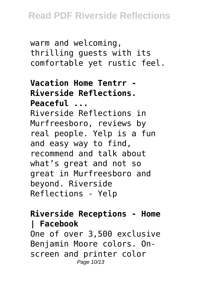warm and welcoming, thrilling guests with its comfortable yet rustic feel.

### **Vacation Home Tentrr - Riverside Reflections. Peaceful ...** Riverside Reflections in Murfreesboro, reviews by real people. Yelp is a fun

and easy way to find, recommend and talk about what's great and not so great in Murfreesboro and beyond. Riverside Reflections - Yelp

#### **Riverside Receptions - Home | Facebook** One of over 3,500 exclusive Benjamin Moore colors. Onscreen and printer color Page 10/13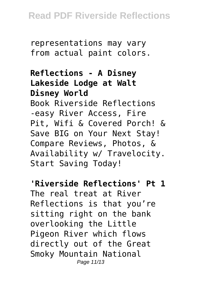representations may vary from actual paint colors.

#### **Reflections - A Disney Lakeside Lodge at Walt Disney World**

Book Riverside Reflections -easy River Access, Fire Pit, Wifi & Covered Porch! & Save BIG on Your Next Stay! Compare Reviews, Photos, & Availability w/ Travelocity. Start Saving Today!

#### **'Riverside Reflections' Pt 1**

The real treat at River Reflections is that you're sitting right on the bank overlooking the Little Pigeon River which flows directly out of the Great Smoky Mountain National Page 11/13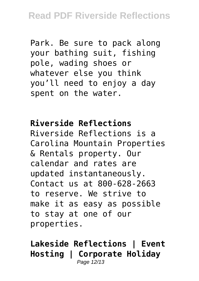Park. Be sure to pack along your bathing suit, fishing pole, wading shoes or whatever else you think you'll need to enjoy a day spent on the water.

## **Riverside Reflections**

Riverside Reflections is a Carolina Mountain Properties & Rentals property. Our calendar and rates are updated instantaneously. Contact us at 800-628-2663 to reserve. We strive to make it as easy as possible to stay at one of our properties.

#### **Lakeside Reflections | Event Hosting | Corporate Holiday** Page 12/13